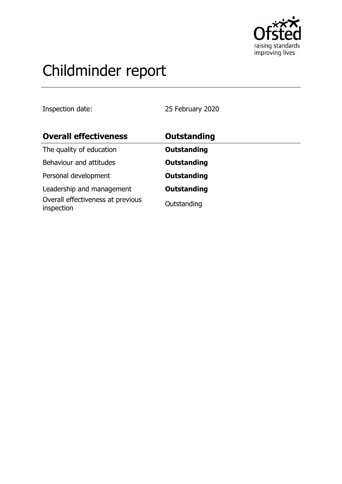

# Childminder report

Inspection date: 25 February 2020

| <b>Overall effectiveness</b>                    | Outstanding        |
|-------------------------------------------------|--------------------|
| The quality of education                        | <b>Outstanding</b> |
| Behaviour and attitudes                         | <b>Outstanding</b> |
| Personal development                            | <b>Outstanding</b> |
| Leadership and management                       | <b>Outstanding</b> |
| Overall effectiveness at previous<br>inspection | Outstanding        |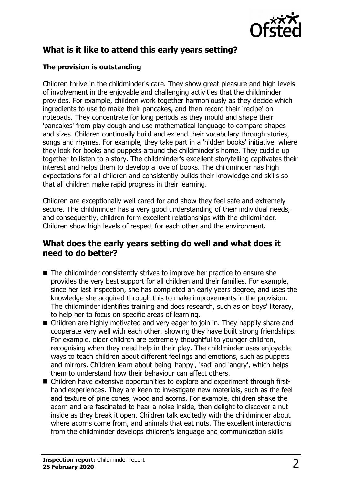

# **What is it like to attend this early years setting?**

#### **The provision is outstanding**

Children thrive in the childminder's care. They show great pleasure and high levels of involvement in the enjoyable and challenging activities that the childminder provides. For example, children work together harmoniously as they decide which ingredients to use to make their pancakes, and then record their 'recipe' on notepads. They concentrate for long periods as they mould and shape their 'pancakes' from play dough and use mathematical language to compare shapes and sizes. Children continually build and extend their vocabulary through stories, songs and rhymes. For example, they take part in a 'hidden books' initiative, where they look for books and puppets around the childminder's home. They cuddle up together to listen to a story. The childminder's excellent storytelling captivates their interest and helps them to develop a love of books. The childminder has high expectations for all children and consistently builds their knowledge and skills so that all children make rapid progress in their learning.

Children are exceptionally well cared for and show they feel safe and extremely secure. The childminder has a very good understanding of their individual needs, and consequently, children form excellent relationships with the childminder. Children show high levels of respect for each other and the environment.

#### **What does the early years setting do well and what does it need to do better?**

- $\blacksquare$  The childminder consistently strives to improve her practice to ensure she provides the very best support for all children and their families. For example, since her last inspection, she has completed an early years degree, and uses the knowledge she acquired through this to make improvements in the provision. The childminder identifies training and does research, such as on boys' literacy, to help her to focus on specific areas of learning.
- $\blacksquare$  Children are highly motivated and very eager to join in. They happily share and cooperate very well with each other, showing they have built strong friendships. For example, older children are extremely thoughtful to younger children, recognising when they need help in their play. The childminder uses enjoyable ways to teach children about different feelings and emotions, such as puppets and mirrors. Children learn about being 'happy', 'sad' and 'angry', which helps them to understand how their behaviour can affect others.
- Children have extensive opportunities to explore and experiment through firsthand experiences. They are keen to investigate new materials, such as the feel and texture of pine cones, wood and acorns. For example, children shake the acorn and are fascinated to hear a noise inside, then delight to discover a nut inside as they break it open. Children talk excitedly with the childminder about where acorns come from, and animals that eat nuts. The excellent interactions from the childminder develops children's language and communication skills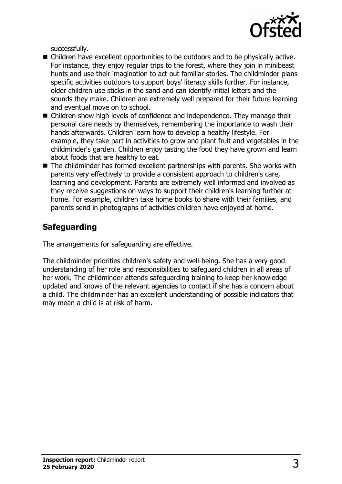

successfully.

- Children have excellent opportunities to be outdoors and to be physically active. For instance, they enjoy regular trips to the forest, where they join in minibeast hunts and use their imagination to act out familiar stories. The childminder plans specific activities outdoors to support boys' literacy skills further. For instance, older children use sticks in the sand and can identify initial letters and the sounds they make. Children are extremely well prepared for their future learning and eventual move on to school.
- $\blacksquare$  Children show high levels of confidence and independence. They manage their personal care needs by themselves, remembering the importance to wash their hands afterwards. Children learn how to develop a healthy lifestyle. For example, they take part in activities to grow and plant fruit and vegetables in the childminder's garden. Children enjoy tasting the food they have grown and learn about foods that are healthy to eat.
- $\blacksquare$  The childminder has formed excellent partnerships with parents. She works with parents very effectively to provide a consistent approach to children's care, learning and development. Parents are extremely well informed and involved as they receive suggestions on ways to support their children's learning further at home. For example, children take home books to share with their families, and parents send in photographs of activities children have enjoyed at home.

# **Safeguarding**

The arrangements for safeguarding are effective.

The childminder priorities children's safety and well-being. She has a very good understanding of her role and responsibilities to safeguard children in all areas of her work. The childminder attends safeguarding training to keep her knowledge updated and knows of the relevant agencies to contact if she has a concern about a child. The childminder has an excellent understanding of possible indicators that may mean a child is at risk of harm.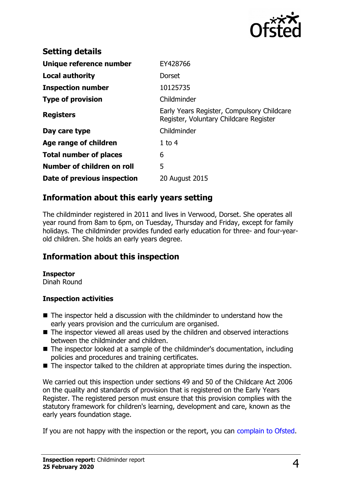

| <b>Setting details</b>        |                                                                                      |
|-------------------------------|--------------------------------------------------------------------------------------|
| Unique reference number       | EY428766                                                                             |
| Local authority               | <b>Dorset</b>                                                                        |
| <b>Inspection number</b>      | 10125735                                                                             |
| <b>Type of provision</b>      | Childminder                                                                          |
| <b>Registers</b>              | Early Years Register, Compulsory Childcare<br>Register, Voluntary Childcare Register |
| Day care type                 | Childminder                                                                          |
| Age range of children         | $1$ to 4                                                                             |
| <b>Total number of places</b> | 6                                                                                    |
| Number of children on roll    | 5                                                                                    |
| Date of previous inspection   | 20 August 2015                                                                       |

### **Information about this early years setting**

The childminder registered in 2011 and lives in Verwood, Dorset. She operates all year round from 8am to 6pm, on Tuesday, Thursday and Friday, except for family holidays. The childminder provides funded early education for three- and four-yearold children. She holds an early years degree.

# **Information about this inspection**

#### **Inspector**

Dinah Round

#### **Inspection activities**

- $\blacksquare$  The inspector held a discussion with the childminder to understand how the early years provision and the curriculum are organised.
- $\blacksquare$  The inspector viewed all areas used by the children and observed interactions between the childminder and children.
- $\blacksquare$  The inspector looked at a sample of the childminder's documentation, including policies and procedures and training certificates.
- $\blacksquare$  The inspector talked to the children at appropriate times during the inspection.

We carried out this inspection under sections 49 and 50 of the Childcare Act 2006 on the quality and standards of provision that is registered on the Early Years Register. The registered person must ensure that this provision complies with the statutory framework for children's learning, development and care, known as the early years foundation stage.

If you are not happy with the inspection or the report, you can [complain to Ofsted.](http://www.gov.uk/complain-ofsted-report)